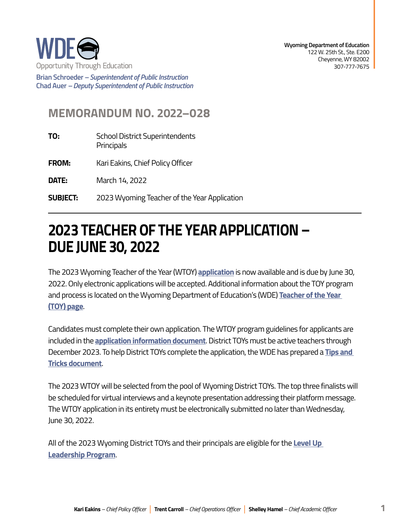

**Brian Schroeder –***Superintendent of Public Instruction*  **Chad Auer** *– Deputy Superintendent of Public Instruction* 

## **MEMORANDUM NO. 2022–028**

- **TO:** School District Superintendents **Principals**
- **FROM:** Kari Eakins, Chief Policy Officer

**DATE:** March 14, 2022

**SUBJECT: SUBJECT:** 2023 Wyoming Teacher of the Year Application

## **2023 TEACHEROF THE YEARAPPLICATION– DUE JUNE 30, 2022**

The 2023 Wyoming Teacher of the Year (WTOY) **[application](https://form.jotform.com/220475128999166)** is now available and is due by June 30, 2022. Only electronic applications will be accepted. Additional information about the TOY program and process is located on the Wyoming Department of Education's (WDE) **[Teacher of the Year](https://edu.wyoming.gov/educators/teachers/toy/)  [\(TOY\) page](https://edu.wyoming.gov/educators/teachers/toy/)**.

Candidates must complete their own application. The WTOY program guidelines for applicants are included in the **[application information document](https://edu.wyoming.gov/wp-content/uploads/2022/03/2023-Wyoming-TOY-Application-Information.pdf)**. District TOYs must be active teachers through December 2023. To help District TOYs complete the application, the WDE has prepared a **[Tips and](https://edu.wyoming.gov/wp-content/uploads/2022/03/2023-TOY-Application-Tips-and-Tricks.pdf)  [Tricks document](https://edu.wyoming.gov/wp-content/uploads/2022/03/2023-TOY-Application-Tips-and-Tricks.pdf)**.

The 2023 WTOY will be selected from the pool of Wyoming District TOYs. The top three finalists will be scheduled for virtual interviews and a keynote presentation addressing their platform message. The WTOY application in its entirety must be electronically submitted no later than Wednesday, June 30, 2022.

All of the 2023 Wyoming District TOYs and their principals are eligible for the **[Level Up](https://edu.wyoming.gov/educators/level-up/)  [Leadership Program](https://edu.wyoming.gov/educators/level-up/)**.